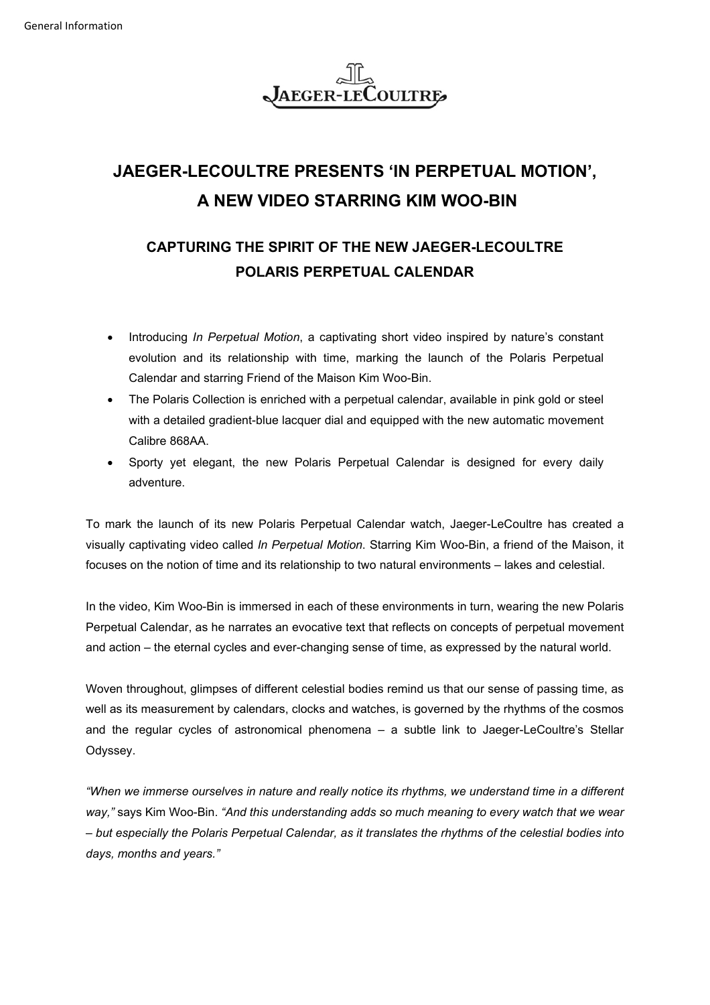

## **JAEGER-LECOULTRE PRESENTS 'IN PERPETUAL MOTION', A NEW VIDEO STARRING KIM WOO-BIN**

## **CAPTURING THE SPIRIT OF THE NEW JAEGER-LECOULTRE POLARIS PERPETUAL CALENDAR**

- Introducing *In Perpetual Motion*, a captivating short video inspired by nature's constant evolution and its relationship with time, marking the launch of the Polaris Perpetual Calendar and starring Friend of the Maison Kim Woo-Bin.
- The Polaris Collection is enriched with a perpetual calendar, available in pink gold or steel with a detailed gradient-blue lacquer dial and equipped with the new automatic movement Calibre 868AA.
- Sporty yet elegant, the new Polaris Perpetual Calendar is designed for every daily adventure.

To mark the launch of its new Polaris Perpetual Calendar watch, Jaeger-LeCoultre has created a visually captivating video called *In Perpetual Motion*. Starring Kim Woo-Bin, a friend of the Maison, it focuses on the notion of time and its relationship to two natural environments – lakes and celestial.

In the video, Kim Woo-Bin is immersed in each of these environments in turn, wearing the new Polaris Perpetual Calendar, as he narrates an evocative text that reflects on concepts of perpetual movement and action – the eternal cycles and ever-changing sense of time, as expressed by the natural world.

Woven throughout, glimpses of different celestial bodies remind us that our sense of passing time, as well as its measurement by calendars, clocks and watches, is governed by the rhythms of the cosmos and the regular cycles of astronomical phenomena – a subtle link to Jaeger-LeCoultre's Stellar Odyssey.

*"When we immerse ourselves in nature and really notice its rhythms, we understand time in a different way,"* says Kim Woo-Bin. *"And this understanding adds so much meaning to every watch that we wear – but especially the Polaris Perpetual Calendar, as it translates the rhythms of the celestial bodies into days, months and years."*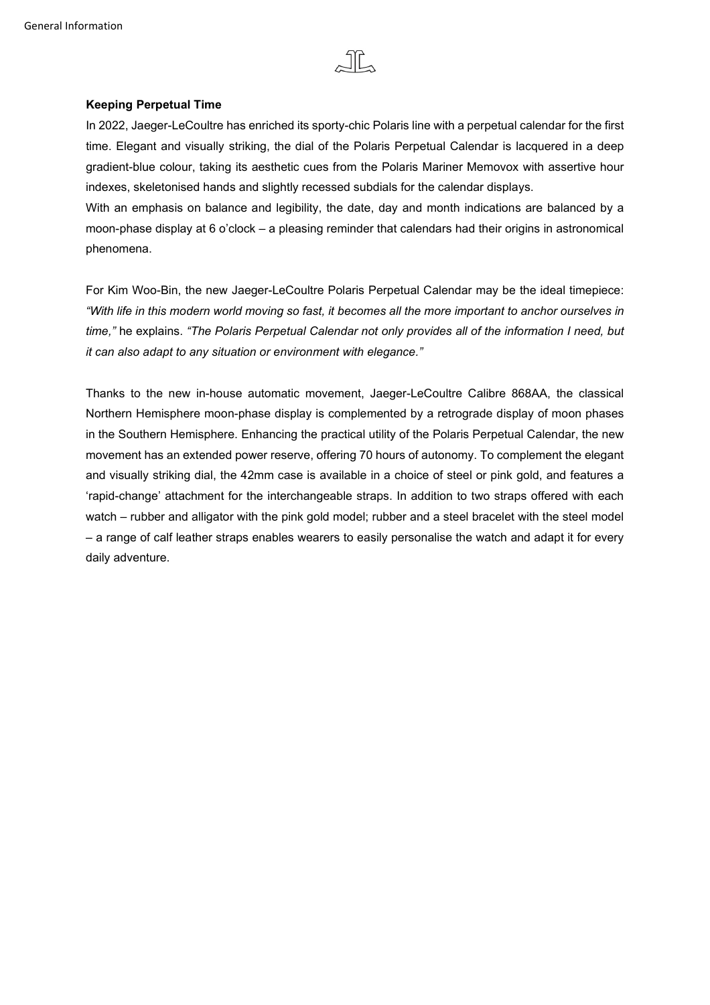

## **Keeping Perpetual Time**

In 2022, Jaeger-LeCoultre has enriched its sporty-chic Polaris line with a perpetual calendar for the first time. Elegant and visually striking, the dial of the Polaris Perpetual Calendar is lacquered in a deep gradient-blue colour, taking its aesthetic cues from the Polaris Mariner Memovox with assertive hour indexes, skeletonised hands and slightly recessed subdials for the calendar displays.

With an emphasis on balance and legibility, the date, day and month indications are balanced by a moon-phase display at 6 o'clock – a pleasing reminder that calendars had their origins in astronomical phenomena.

For Kim Woo-Bin, the new Jaeger-LeCoultre Polaris Perpetual Calendar may be the ideal timepiece: *"With life in this modern world moving so fast, it becomes all the more important to anchor ourselves in time,"* he explains. *"The Polaris Perpetual Calendar not only provides all of the information I need, but it can also adapt to any situation or environment with elegance."*

Thanks to the new in-house automatic movement, Jaeger-LeCoultre Calibre 868AA, the classical Northern Hemisphere moon-phase display is complemented by a retrograde display of moon phases in the Southern Hemisphere. Enhancing the practical utility of the Polaris Perpetual Calendar, the new movement has an extended power reserve, offering 70 hours of autonomy. To complement the elegant and visually striking dial, the 42mm case is available in a choice of steel or pink gold, and features a 'rapid-change' attachment for the interchangeable straps. In addition to two straps offered with each watch – rubber and alligator with the pink gold model; rubber and a steel bracelet with the steel model – a range of calf leather straps enables wearers to easily personalise the watch and adapt it for every daily adventure.